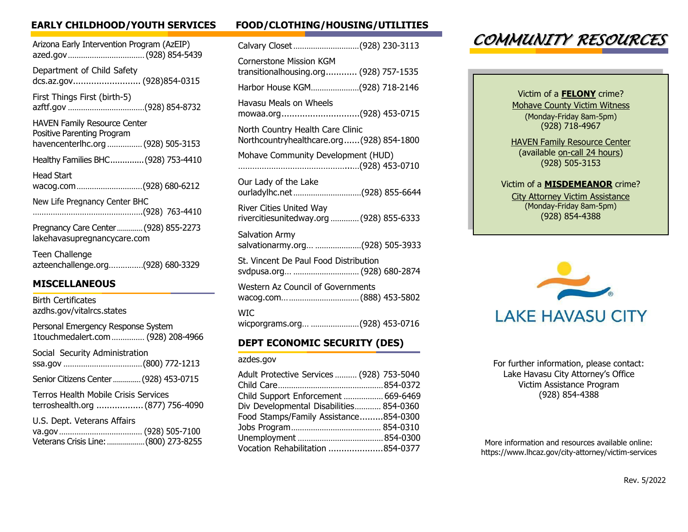| Arizona Early Intervention Program (AzEIP)<br>azed.gov (928) 854-5439                                   |
|---------------------------------------------------------------------------------------------------------|
| Department of Child Safety<br>dcs.az.gov (928)854-0315                                                  |
| First Things First (birth-5)                                                                            |
| <b>HAVEN Family Resource Center</b><br>Positive Parenting Program<br>havencenterlhc.org  (928) 505-3153 |
| Healthy Families BHC (928) 753-4410                                                                     |
| Head Start<br>wacog.com(928) 680-6212                                                                   |
| New Life Pregnancy Center BHC                                                                           |
| Pregnancy Care Center  (928) 855-2273<br>lakehavasupregnancycare.com                                    |
| Teen Challenge<br>azteenchallenge.org(928) 680-3329                                                     |
|                                                                                                         |

### **MISCELLANEOUS**

| Birth Certificates<br>azdhs.gov/vitalrcs.states                                 |
|---------------------------------------------------------------------------------|
| Personal Emergency Response System<br>1touchmedalert.com  (928) 208-4966        |
| Social Security Administration                                                  |
| Senior Citizens Center  (928) 453-0715                                          |
| <b>Terros Health Mobile Crisis Services</b><br>terroshealth.org  (877) 756-4090 |
| U.S. Dept. Veterans Affairs<br>Veterans Crisis Line:  (800) 273-8255            |

# **EARLY CHILDHOOD/YOUTH SERVICES FOOD/CLOTHING/HOUSING/UTILITIES**

| Calvary Closet (928) 230-3113                                                |
|------------------------------------------------------------------------------|
| Cornerstone Mission KGM<br>transitionalhousing.org (928) 757-1535            |
| Harbor House KGM(928) 718-2146                                               |
| Havasu Meals on Wheels<br>mowaa.org(928) 453-0715                            |
| North Country Health Care Clinic<br>Northcountryhealthcare.org(928) 854-1800 |
| Mohave Community Development (HUD)                                           |
| Our Lady of the Lake<br>ourladylhc.net(928) 855-6644                         |
| River Cities United Way<br>rivercitiesunitedway.org  (928) 855-6333          |
| <b>Salvation Army</b><br>salvationarmy.org (928) 505-3933                    |
| St. Vincent De Paul Food Distribution<br>svdpusa.org  (928) 680-2874         |
| Western Az Council of Governments                                            |
| <b>WIC</b><br>wicporgrams.org (928) 453-0716                                 |
|                                                                              |

## **DEPT ECONOMIC SECURITY (DES)**

### azdes.gov

| Adult Protective Services  (928) 753-5040 |  |
|-------------------------------------------|--|
|                                           |  |
| Child Support Enforcement  669-6469       |  |
| Div Developmental Disabilities 854-0360   |  |
| Food Stamps/Family Assistance854-0300     |  |
|                                           |  |
|                                           |  |
| Vocation Rehabilitation 854-0377          |  |

# *COMMUNITY RESOURCES*

Victim of a **FELONY** crime? Mohave County Victim Witness (Monday-Friday 8am-5pm) (928) 718-4967

**HAVEN Family Resource Center** (available on-call 24 hours) (928) 505-3153

### Victim of a **MISDEMEANOR** crime? City Attorney Victim Assistance (Monday-Friday 8am-5pm) (928) 854-4388



For further information, please contact: Lake Havasu City Attorney's Office Victim Assistance Program (928) 854-4388

More information and resources available online: https:/[/www.lhcaz.gov/city-attorney/victim-services](http://www.lhcaz.gov/city-attorney/victim-services)